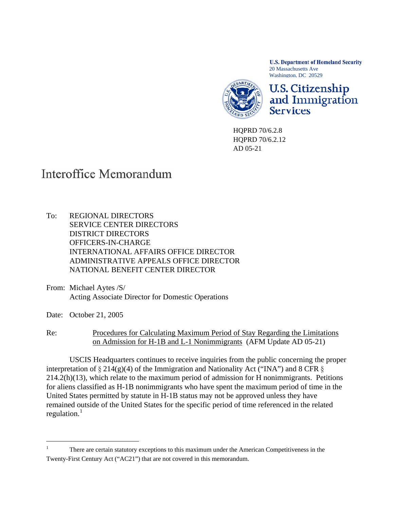**U.S. Department of Homeland Security** 20 Massachusetts Ave Washington, DC 20529



**U.S. Citizenship** and Immigration **Services** 

HQPRD 70/6.2.8 HQPRD 70/6.2.12 AD 05-21

## Interoffice Memorandum

- To: REGIONAL DIRECTORS SERVICE CENTER DIRECTORS DISTRICT DIRECTORS OFFICERS-IN-CHARGE INTERNATIONAL AFFAIRS OFFICE DIRECTOR ADMINISTRATIVE APPEALS OFFICE DIRECTOR NATIONAL BENEFIT CENTER DIRECTOR
- From: Michael Aytes /S/ Acting Associate Director for Domestic Operations
- Date: October 21, 2005

l

Re: Procedures for Calculating Maximum Period of Stay Regarding the Limitations on Admission for H-1B and L-1 Nonimmigrants (AFM Update AD 05-21)

USCIS Headquarters continues to receive inquiries from the public concerning the proper interpretation of  $\S 214(g)(4)$  of the Immigration and Nationality Act ("INA") and 8 CFR  $\S$ 214.2(h)(13), which relate to the maximum period of admission for H nonimmigrants. Petitions for aliens classified as H-1B nonimmigrants who have spent the maximum period of time in the United States permitted by statute in H-1B status may not be approved unless they have remained outside of the United States for the specific period of time referenced in the related regulation. $<sup>1</sup>$  $<sup>1</sup>$  $<sup>1</sup>$ </sup>

<span id="page-0-0"></span><sup>1</sup> There are certain statutory exceptions to this maximum under the American Competitiveness in the Twenty-First Century Act ("AC21") that are not covered in this memorandum.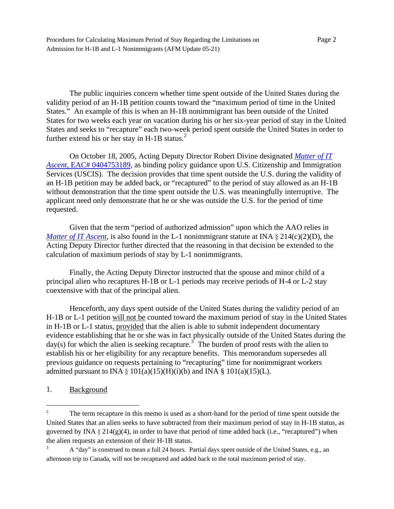Procedures for Calculating Maximum Period of Stay Regarding the Limitations on Page 2 Admission for H-1B and L-1 Nonimmigrants (AFM Update 05-21)

The public inquiries concern whether time spent outside of the United States during the validity period of an H-1B petition counts toward the "maximum period of time in the United States." An example of this is when an H-1B nonimmigrant has been outside of the United States for two weeks each year on vacation during his or her six-year period of stay in the United States and seeks to "recapture" each two-week period spent outside the United States in order to further extend his or her stay in H-1B status. $^{2}$  $^{2}$  $^{2}$ 

On October 18, 2005, Acting Deputy Director Robert Divine designated *[Matter of IT](http://onlineplus.uscis.dhs.gov/graphics/lawsregs/handman/H1BRecapture101805.pdf)  Ascent*[, EAC# 0404753189,](http://onlineplus.uscis.dhs.gov/graphics/lawsregs/handman/H1BRecapture101805.pdf) as binding policy guidance upon U.S. Citizenship and Immigration Services (USCIS). The decision provides that time spent outside the U.S. during the validity of an H-1B petition may be added back, or "recaptured" to the period of stay allowed as an H-1B without demonstration that the time spent outside the U.S. was meaningfully interruptive. The applicant need only demonstrate that he or she was outside the U.S. for the period of time requested.

Given that the term "period of authorized admission" upon which the AAO relies in *[Matter of IT Ascent,](http://onlineplus.uscis.dhs.gov/graphics/lawsregs/handman/H1BRecapture101805.pdf)* is also found in the L-1 nonimmigrant statute at INA  $\S 214(c)(2)(D)$ , the Acting Deputy Director further directed that the reasoning in that decision be extended to the calculation of maximum periods of stay by L-1 nonimmigrants.

Finally, the Acting Deputy Director instructed that the spouse and minor child of a principal alien who recaptures H-1B or L-1 periods may receive periods of H-4 or L-2 stay coextensive with that of the principal alien.

Henceforth, any days spent outside of the United States during the validity period of an H-1B or L-1 petition will not be counted toward the maximum period of stay in the United States in H-1B or L-1 status, provided that the alien is able to submit independent documentary evidence establishing that he or she was in fact physically outside of the United States during the day(s) for which the alien is seeking recapture.<sup>[3](#page-1-1)</sup> The burden of proof rests with the alien to establish his or her eligibility for any recapture benefits. This memorandum supersedes all previous guidance on requests pertaining to "recapturing" time for nonimmigrant workers admitted pursuant to INA  $\S$  101(a)(15)(H)(i)(b) and INA  $\S$  101(a)(15)(L).

1. Background

l

<span id="page-1-0"></span><sup>2</sup> The term recapture in this memo is used as a short-hand for the period of time spent outside the United States that an alien seeks to have subtracted from their maximum period of stay in H-1B status, as governed by INA  $\S 214(g)(4)$ , in order to have that period of time added back (i.e., "recaptured") when the alien requests an extension of their H-1B status.

<span id="page-1-1"></span><sup>3</sup> A "day" is construed to mean a full 24 hours. Partial days spent outside of the United States, e.g., an afternoon trip to Canada, will not be recaptured and added back to the total maximum period of stay.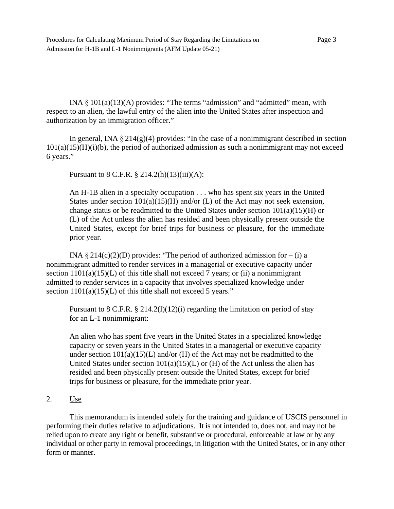Procedures for Calculating Maximum Period of Stay Regarding the Limitations on Page 3 Admission for H-1B and L-1 Nonimmigrants (AFM Update 05-21)

INA  $\S$  101(a)(13)(A) provides: "The terms "admission" and "admitted" mean, with respect to an alien, the lawful entry of the alien into the United States after inspection and authorization by an immigration officer."

In general, INA  $\S 214(g)(4)$  provides: "In the case of a nonimmigrant described in section  $101(a)(15)(H)(i)$ , the period of authorized admission as such a nonimmigrant may not exceed 6 years."

Pursuant to 8 C.F.R. § 214.2(h)(13)(iii)(A):

An H-1B alien in a specialty occupation . . . who has spent six years in the United States under section  $101(a)(15)(H)$  and/or (L) of the Act may not seek extension, change status or be readmitted to the United States under section  $101(a)(15)(H)$  or (L) of the Act unless the alien has resided and been physically present outside the United States, except for brief trips for business or pleasure, for the immediate prior year.

INA  $\S 214(c)(2)(D)$  provides: "The period of authorized admission for – (i) a nonimmigrant admitted to render services in a managerial or executive capacity under section  $1101(a)(15)(L)$  of this title shall not exceed 7 years; or (ii) a nonimmigrant admitted to render services in a capacity that involves specialized knowledge under section  $1101(a)(15)(L)$  of this title shall not exceed 5 years."

Pursuant to 8 C.F.R.  $\S 214.2(1)(12)(i)$  regarding the limitation on period of stay for an L-1 nonimmigrant:

An alien who has spent five years in the United States in a specialized knowledge capacity or seven years in the United States in a managerial or executive capacity under section  $101(a)(15)(L)$  and/or (H) of the Act may not be readmitted to the United States under section  $101(a)(15)(L)$  or (H) of the Act unless the alien has resided and been physically present outside the United States, except for brief trips for business or pleasure, for the immediate prior year.

2. Use

 This memorandum is intended solely for the training and guidance of USCIS personnel in performing their duties relative to adjudications. It is not intended to, does not, and may not be relied upon to create any right or benefit, substantive or procedural, enforceable at law or by any individual or other party in removal proceedings, in litigation with the United States, or in any other form or manner.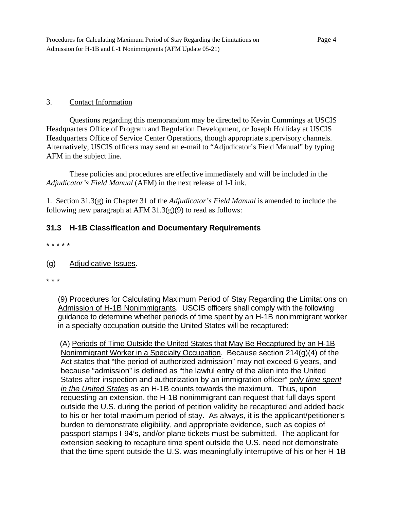## 3. Contact Information

Questions regarding this memorandum may be directed to Kevin Cummings at USCIS Headquarters Office of Program and Regulation Development, or Joseph Holliday at USCIS Headquarters Office of Service Center Operations, though appropriate supervisory channels. Alternatively, USCIS officers may send an e-mail to "Adjudicator's Field Manual" by typing AFM in the subject line.

These policies and procedures are effective immediately and will be included in the *Adjudicator's Field Manual* (AFM) in the next release of I-Link.

1. Section 31.3(g) in Chapter 31 of the *Adjudicator's Field Manual* is amended to include the following new paragraph at AFM  $31.3(g)(9)$  to read as follows:

## **31.3 H-1B Classification and Documentary Requirements**

- \* \* \* \* \*
- (g) Adjudicative Issues.
- \* \* \*

 (9) Procedures for Calculating Maximum Period of Stay Regarding the Limitations on Admission of H-1B Nonimmigrants. USCIS officers shall comply with the following guidance to determine whether periods of time spent by an H-1B nonimmigrant worker in a specialty occupation outside the United States will be recaptured:

 (A) Periods of Time Outside the United States that May Be Recaptured by an H-1B Nonimmigrant Worker in a Specialty Occupation. Because section 214(g)(4) of the Act states that "the period of authorized admission" may not exceed 6 years, and because "admission" is defined as "the lawful entry of the alien into the United States after inspection and authorization by an immigration officer" *only time spent in the United States* as an H-1B counts towards the maximum. Thus, upon requesting an extension, the H-1B nonimmigrant can request that full days spent outside the U.S. during the period of petition validity be recaptured and added back to his or her total maximum period of stay. As always, it is the applicant/petitioner's burden to demonstrate eligibility, and appropriate evidence, such as copies of passport stamps I-94's, and/or plane tickets must be submitted. The applicant for extension seeking to recapture time spent outside the U.S. need not demonstrate that the time spent outside the U.S. was meaningfully interruptive of his or her H-1B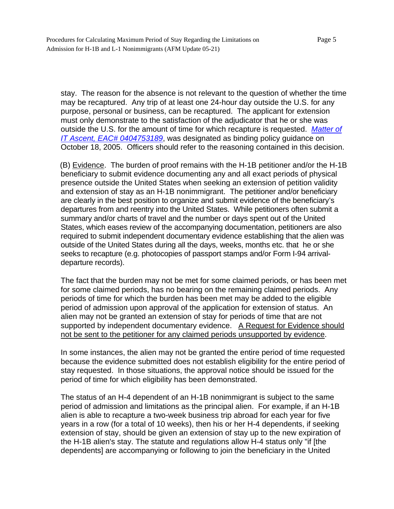stay. The reason for the absence is not relevant to the question of whether the time may be recaptured. Any trip of at least one 24-hour day outside the U.S. for any purpose, personal or business, can be recaptured. The applicant for extension must only demonstrate to the satisfaction of the adjudicator that he or she was outside the U.S. for the amount of time for which recapture is requested. *Matter of IT Ascent, EAC# 0404753189*, was designated as binding policy guidance on October 18, 2005. Officers should refer to the reasoning contained in this decision.

 (B) Evidence. The burden of proof remains with the H-1B petitioner and/or the H-1B beneficiary to submit evidence documenting any and all exact periods of physical presence outside the United States when seeking an extension of petition validity and extension of stay as an H-1B nonimmigrant. The petitioner and/or beneficiary are clearly in the best position to organize and submit evidence of the beneficiary's departures from and reentry into the United States. While petitioners often submit a summary and/or charts of travel and the number or days spent out of the United States, which eases review of the accompanying documentation, petitioners are also required to submit independent documentary evidence establishing that the alien was outside of the United States during all the days, weeks, months etc. that he or she seeks to recapture (e.g. photocopies of passport stamps and/or Form I-94 arrivaldeparture records).

The fact that the burden may not be met for some claimed periods, or has been met for some claimed periods, has no bearing on the remaining claimed periods. Any periods of time for which the burden has been met may be added to the eligible period of admission upon approval of the application for extension of status. An alien may not be granted an extension of stay for periods of time that are not supported by independent documentary evidence. A Request for Evidence should not be sent to the petitioner for any claimed periods unsupported by evidence.

In some instances, the alien may not be granted the entire period of time requested because the evidence submitted does not establish eligibility for the entire period of stay requested. In those situations, the approval notice should be issued for the period of time for which eligibility has been demonstrated.

The status of an H-4 dependent of an H-1B nonimmigrant is subject to the same period of admission and limitations as the principal alien. For example, if an H-1B alien is able to recapture a two-week business trip abroad for each year for five years in a row (for a total of 10 weeks), then his or her H-4 dependents, if seeking extension of stay, should be given an extension of stay up to the new expiration of the H-1B alien's stay. The statute and regulations allow H-4 status only "if [the dependents] are accompanying or following to join the beneficiary in the United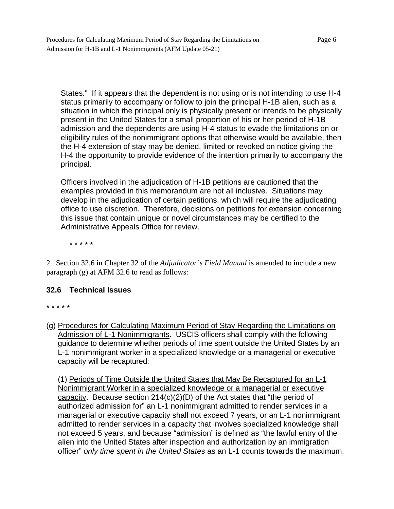States." If it appears that the dependent is not using or is not intending to use H-4 status primarily to accompany or follow to join the principal H-1B alien, such as a situation in which the principal only is physically present or intends to be physically present in the United States for a small proportion of his or her period of H-1B admission and the dependents are using H-4 status to evade the limitations on or eligibility rules of the nonimmigrant options that otherwise would be available, then the H-4 extension of stay may be denied, limited or revoked on notice giving the H-4 the opportunity to provide evidence of the intention primarily to accompany the principal.

Officers involved in the adjudication of H-1B petitions are cautioned that the examples provided in this memorandum are not all inclusive. Situations may develop in the adjudication of certain petitions, which will require the adjudicating office to use discretion. Therefore, decisions on petitions for extension concerning this issue that contain unique or novel circumstances may be certified to the Administrative Appeals Office for review.

\* \* \* \* \*

2. Section 32.6 in Chapter 32 of the *Adjudicator's Field Manual* is amended to include a new paragraph (g) at AFM 32.6 to read as follows:

## **32.6 Technical Issues**

\* \* \* \* \*

(g) Procedures for Calculating Maximum Period of Stay Regarding the Limitations on Admission of L-1 Nonimmigrants. USCIS officers shall comply with the following guidance to determine whether periods of time spent outside the United States by an L-1 nonimmigrant worker in a specialized knowledge or a managerial or executive capacity will be recaptured:

(1) Periods of Time Outside the United States that May Be Recaptured for an L-1 Nonimmigrant Worker in a specialized knowledge or a managerial or executive capacity. Because section 214(c)(2)(D) of the Act states that "the period of authorized admission for" an L-1 nonimmigrant admitted to render services in a managerial or executive capacity shall not exceed 7 years, or an L-1 nonimmigrant admitted to render services in a capacity that involves specialized knowledge shall not exceed 5 years, and because "admission" is defined as "the lawful entry of the alien into the United States after inspection and authorization by an immigration officer" *only time spent in the United States* as an L-1 counts towards the maximum.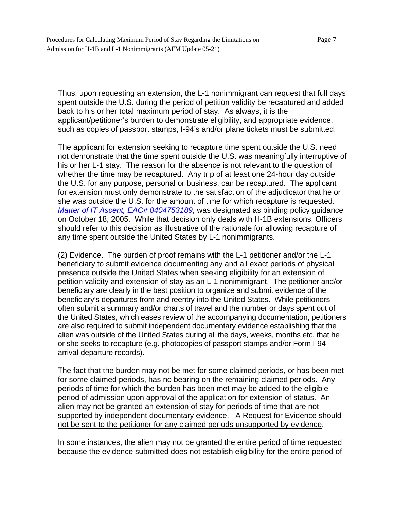Thus, upon requesting an extension, the L-1 nonimmigrant can request that full days spent outside the U.S. during the period of petition validity be recaptured and added back to his or her total maximum period of stay. As always, it is the applicant/petitioner's burden to demonstrate eligibility, and appropriate evidence, such as copies of passport stamps, I-94's and/or plane tickets must be submitted.

The applicant for extension seeking to recapture time spent outside the U.S. need not demonstrate that the time spent outside the U.S. was meaningfully interruptive of his or her L-1 stay. The reason for the absence is not relevant to the question of whether the time may be recaptured. Any trip of at least one 24-hour day outside the U.S. for any purpose, personal or business, can be recaptured. The applicant for extension must only demonstrate to the satisfaction of the adjudicator that he or she was outside the U.S. for the amount of time for which recapture is requested. *Matter of IT Ascent, EAC# 0404753189*, was designated as binding policy guidance on October 18, 2005. While that decision only deals with H-1B extensions, Officers should refer to this decision as illustrative of the rationale for allowing recapture of any time spent outside the United States by L-1 nonimmigrants.

(2) Evidence. The burden of proof remains with the L-1 petitioner and/or the L-1 beneficiary to submit evidence documenting any and all exact periods of physical presence outside the United States when seeking eligibility for an extension of petition validity and extension of stay as an L-1 nonimmigrant. The petitioner and/or beneficiary are clearly in the best position to organize and submit evidence of the beneficiary's departures from and reentry into the United States. While petitioners often submit a summary and/or charts of travel and the number or days spent out of the United States, which eases review of the accompanying documentation, petitioners are also required to submit independent documentary evidence establishing that the alien was outside of the United States during all the days, weeks, months etc. that he or she seeks to recapture (e.g. photocopies of passport stamps and/or Form I-94 arrival-departure records).

The fact that the burden may not be met for some claimed periods, or has been met for some claimed periods, has no bearing on the remaining claimed periods. Any periods of time for which the burden has been met may be added to the eligible period of admission upon approval of the application for extension of status. An alien may not be granted an extension of stay for periods of time that are not supported by independent documentary evidence. A Request for Evidence should not be sent to the petitioner for any claimed periods unsupported by evidence.

In some instances, the alien may not be granted the entire period of time requested because the evidence submitted does not establish eligibility for the entire period of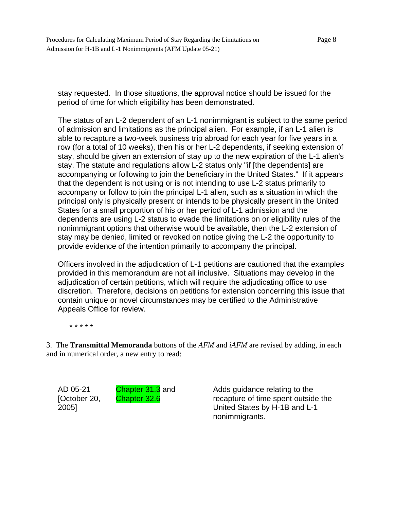Procedures for Calculating Maximum Period of Stay Regarding the Limitations on Page 8 Admission for H-1B and L-1 Nonimmigrants (AFM Update 05-21)

stay requested. In those situations, the approval notice should be issued for the period of time for which eligibility has been demonstrated.

The status of an L-2 dependent of an L-1 nonimmigrant is subject to the same period of admission and limitations as the principal alien. For example, if an L-1 alien is able to recapture a two-week business trip abroad for each year for five years in a row (for a total of 10 weeks), then his or her L-2 dependents, if seeking extension of stay, should be given an extension of stay up to the new expiration of the L-1 alien's stay. The statute and regulations allow L-2 status only "if [the dependents] are accompanying or following to join the beneficiary in the United States." If it appears that the dependent is not using or is not intending to use L-2 status primarily to accompany or follow to join the principal L-1 alien, such as a situation in which the principal only is physically present or intends to be physically present in the United States for a small proportion of his or her period of L-1 admission and the dependents are using L-2 status to evade the limitations on or eligibility rules of the nonimmigrant options that otherwise would be available, then the L-2 extension of stay may be denied, limited or revoked on notice giving the L-2 the opportunity to provide evidence of the intention primarily to accompany the principal.

Officers involved in the adjudication of L-1 petitions are cautioned that the examples provided in this memorandum are not all inclusive. Situations may develop in the adjudication of certain petitions, which will require the adjudicating office to use discretion. Therefore, decisions on petitions for extension concerning this issue that contain unique or novel circumstances may be certified to the Administrative Appeals Office for review.

\* \* \* \* \*

3. The **Transmittal Memoranda** buttons of the *AFM* and *iAFM* are revised by adding, in each and in numerical order, a new entry to read:

AD 05-21 [October 20, 2005]

Chapter 31.3 and Chapter 32.6

Adds guidance relating to the recapture of time spent outside the United States by H-1B and L-1 nonimmigrants.